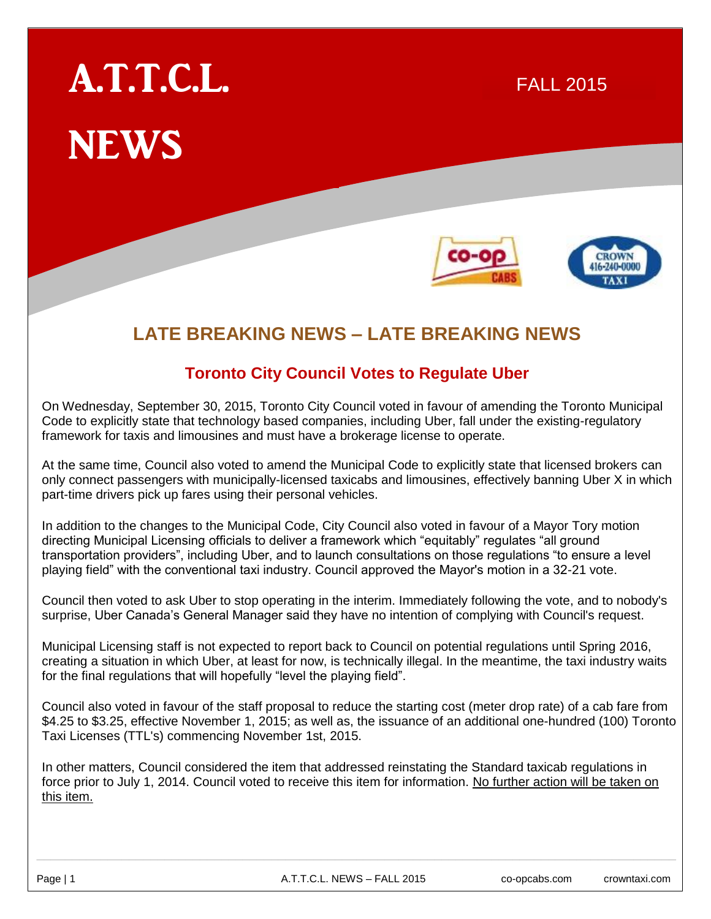# A.T.T.C.L. NEWS

# 16-240-0000

R 2015

FALL 2015

# **LATE BREAKING NEWS – LATE BREAKING NEWS**

# **Toronto City Council Votes to Regulate Uber**

On Wednesday, September 30, 2015, Toronto City Council voted in favour of amending the Toronto Municipal Code to explicitly state that technology based companies, including Uber, fall under the existing-regulatory framework for taxis and limousines and must have a brokerage license to operate.

At the same time, Council also voted to amend the Municipal Code to explicitly state that licensed brokers can only connect passengers with municipally-licensed taxicabs and limousines, effectively banning Uber X in which part-time drivers pick up fares using their personal vehicles.

In addition to the changes to the Municipal Code, City Council also voted in favour of a Mayor Tory motion directing Municipal Licensing officials to deliver a framework which "equitably" regulates "all ground transportation providers", including Uber, and to launch consultations on those regulations "to ensure a level playing field" with the conventional taxi industry. Council approved the Mayor's motion in a 32-21 vote.

Council then voted to ask Uber to stop operating in the interim. Immediately following the vote, and to nobody's surprise, Uber Canada's General Manager said they have no intention of complying with Council's request.

Municipal Licensing staff is not expected to report back to Council on potential regulations until Spring 2016, creating a situation in which Uber, at least for now, is technically illegal. In the meantime, the taxi industry waits for the final regulations that will hopefully "level the playing field".

Council also voted in favour of the staff proposal to reduce the starting cost (meter drop rate) of a cab fare from \$4.25 to \$3.25, effective November 1, 2015; as well as, the issuance of an additional one-hundred (100) Toronto Taxi Licenses (TTL's) commencing November 1st, 2015.

In other matters, Council considered the item that addressed reinstating the Standard taxicab regulations in force prior to July 1, 2014. Council voted to receive this item for information. No further action will be taken on this item.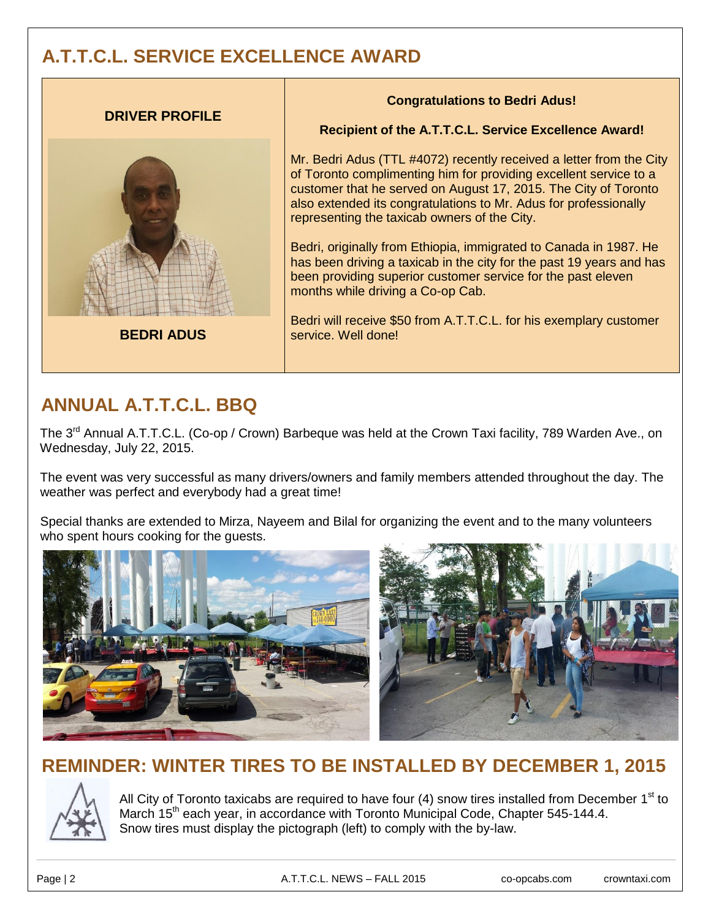# **A.T.T.C.L. SERVICE EXCELLENCE AWARD**



# **ANNUAL A.T.T.C.L. BBQ**

The 3<sup>rd</sup> Annual A.T.T.C.L. (Co-op / Crown) Barbeque was held at the Crown Taxi facility, 789 Warden Ave., on Wednesday, July 22, 2015.

The event was very successful as many drivers/owners and family members attended throughout the day. The weather was perfect and everybody had a great time!

Special thanks are extended to Mirza, Nayeem and Bilal for organizing the event and to the many volunteers who spent hours cooking for the guests.



# **REMINDER: WINTER TIRES TO BE INSTALLED BY DECEMBER 1, 2015**



All City of Toronto taxicabs are required to have four  $(4)$  snow tires installed from December 1<sup>st</sup> to March 15<sup>th</sup> each year, in accordance with Toronto Municipal Code, Chapter 545-144.4. Snow tires must display the pictograph (left) to comply with the by-law.

Page | 2 **A.T.T.C.L. NEWS – FALL 2015** co-opcabs.com crowntaxi.com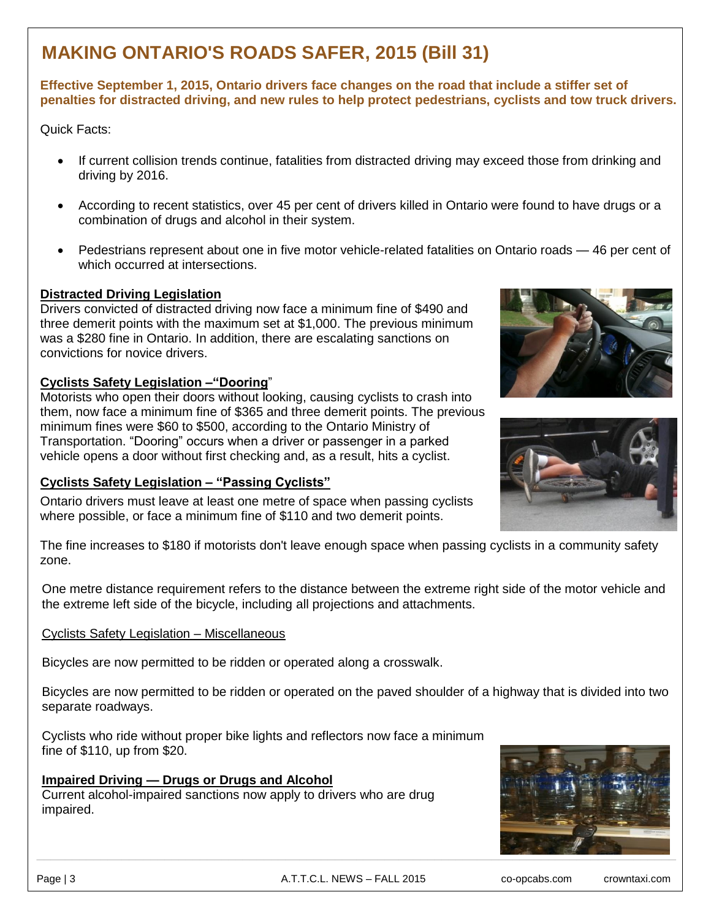# **MAKING ONTARIO'S ROADS SAFER, 2015 (Bill 31)**

## **Effective September 1, 2015, Ontario drivers face changes on the road that include a stiffer set of penalties for distracted driving, and new rules to help protect pedestrians, cyclists and tow truck drivers.**

Quick Facts:

- If current collision trends continue, fatalities from distracted driving may exceed those from drinking and driving by 2016.
- According to recent statistics, over 45 per cent of drivers killed in Ontario were found to have drugs or a combination of drugs and alcohol in their system.
- Pedestrians represent about one in five motor vehicle-related fatalities on Ontario roads 46 per cent of which occurred at intersections.

## **Distracted Driving Legislation**

Drivers convicted of distracted driving now face a minimum fine of \$490 and three demerit points with the maximum set at \$1,000. The previous minimum was a \$280 fine in Ontario. In addition, there are escalating sanctions on convictions for novice drivers.

## **Cyclists Safety Legislation –"Dooring**"

Motorists who open their doors without looking, causing cyclists to crash into them, now face a minimum fine of \$365 and three demerit points. The previous minimum fines were \$60 to \$500, according to the Ontario Ministry of Transportation. "Dooring" occurs when a driver or passenger in a parked vehicle opens a door without first checking and, as a result, hits a cyclist.

## **Cyclists Safety Legislation – "Passing Cyclists"**

Ontario drivers must leave at least one metre of space when passing cyclists where possible, or face a minimum fine of \$110 and two demerit points.





The fine increases to \$180 if motorists don't leave enough space when passing cyclists in a community safety zone.

One metre distance requirement refers to the distance between the extreme right side of the motor vehicle and the extreme left side of the bicycle, including all projections and attachments.

## Cyclists Safety Legislation – Miscellaneous

Bicycles are now permitted to be ridden or operated along a crosswalk.

Bicycles are now permitted to be ridden or operated on the paved shoulder of a highway that is divided into two separate roadways.

Cyclists who ride without proper bike lights and reflectors now face a minimum fine of \$110, up from \$20.

## **Impaired Driving — Drugs or Drugs and Alcohol**

Current alcohol-impaired sanctions now apply to drivers who are drug impaired.

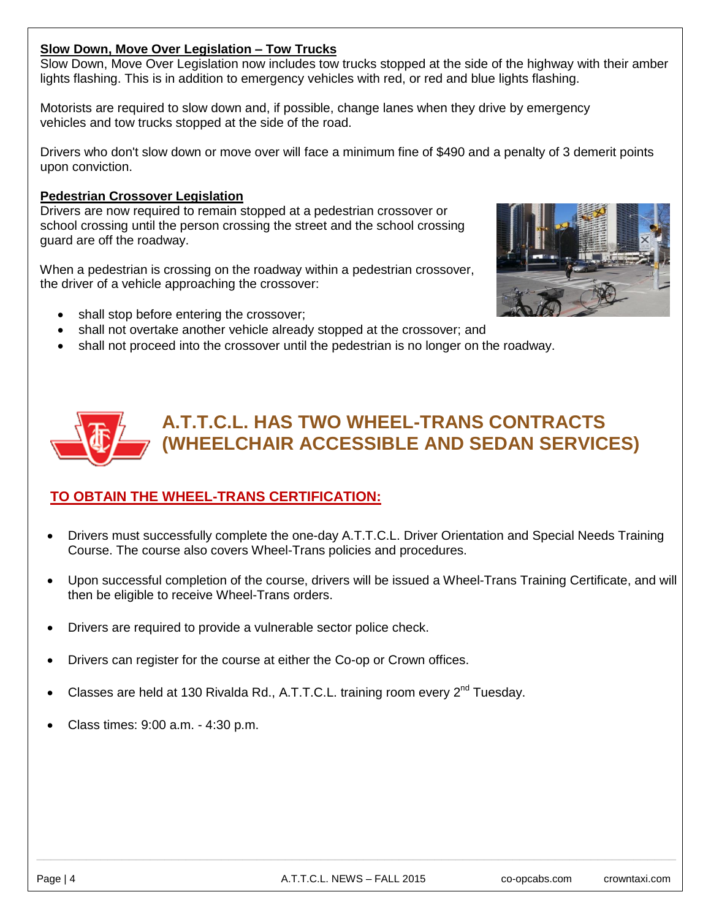# **Slow Down, Move Over Legislation – Tow Trucks**

Slow Down, Move Over Legislation now includes tow trucks stopped at the side of the highway with their amber lights flashing. This is in addition to emergency vehicles with red, or red and blue lights flashing.

Motorists are required to slow down and, if possible, change lanes when they drive by emergency vehicles and tow trucks stopped at the side of the road.

Drivers who don't slow down or move over will face a minimum fine of \$490 and a penalty of 3 demerit points upon conviction.

## **Pedestrian Crossover Legislation**

Drivers are now required to remain stopped at a pedestrian crossover or school crossing until the person crossing the street and the school crossing guard are off the roadway.

When a pedestrian is crossing on the roadway within a pedestrian crossover, the driver of a vehicle approaching the crossover:



- shall stop before entering the crossover;
- shall not overtake another vehicle already stopped at the crossover; and
- shall not proceed into the crossover until the pedestrian is no longer on the roadway.



# **TO OBTAIN THE WHEEL-TRANS CERTIFICATION:**

- Drivers must successfully complete the one-day A.T.T.C.L. Driver Orientation and Special Needs Training Course. The course also covers Wheel-Trans policies and procedures.
- Upon successful completion of the course, drivers will be issued a Wheel-Trans Training Certificate, and will then be eligible to receive Wheel-Trans orders.
- Drivers are required to provide a vulnerable sector police check.
- Drivers can register for the course at either the Co-op or Crown offices.
- Classes are held at 130 Rivalda Rd., A.T.T.C.L. training room every 2<sup>nd</sup> Tuesday.
- Class times: 9:00 a.m. 4:30 p.m.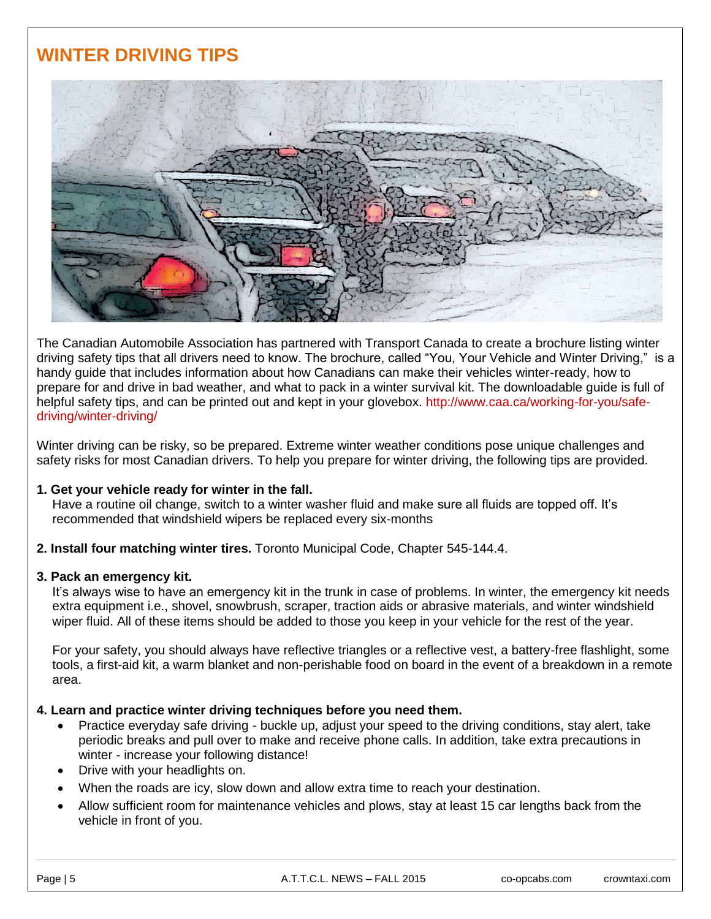# **WINTER DRIVING TIPS**



The Canadian Automobile Association has partnered with Transport Canada to create a brochure listing winter driving safety tips that all drivers need to know. The brochure, called "You, Your Vehicle and Winter Driving," is a handy guide that includes information about how Canadians can make their vehicles winter-ready, how to prepare for and drive in bad weather, and what to pack in a winter survival kit. The downloadable guide is full of helpful safety tips, and can be printed out and kept in your glovebox. http://www.caa.ca/working-for-you/safedriving/winter-driving/

Winter driving can be risky, so be prepared. Extreme winter weather conditions pose unique challenges and safety risks for most Canadian drivers. To help you prepare for winter driving, the following tips are provided.

#### **1. Get your vehicle ready for winter in the fall.**

Have a routine oil change, switch to a winter washer fluid and make sure all fluids are topped off. It's recommended that windshield wipers be replaced every six-months

**2. Install four matching winter tires.** Toronto Municipal Code, Chapter 545-144.4.

#### **3. Pack an emergency kit.**

It's always wise to have an emergency kit in the trunk in case of problems. In winter, the emergency kit needs extra equipment i.e., shovel, snowbrush, scraper, traction aids or abrasive materials, and winter windshield wiper fluid. All of these items should be added to those you keep in your vehicle for the rest of the year.

For your safety, you should always have reflective triangles or a reflective vest, a battery-free flashlight, some tools, a first-aid kit, a warm blanket and non-perishable food on board in the event of a breakdown in a remote area.

## **4. Learn and practice winter driving techniques before you need them.**

- Practice everyday safe driving buckle up, adjust your speed to the driving conditions, stay alert, take periodic breaks and pull over to make and receive phone calls. In addition, take extra precautions in winter - increase your following distance!
- Drive with your headlights on.
- When the roads are icy, slow down and allow extra time to reach your destination.
- Allow sufficient room for maintenance vehicles and plows, stay at least 15 car lengths back from the vehicle in front of you.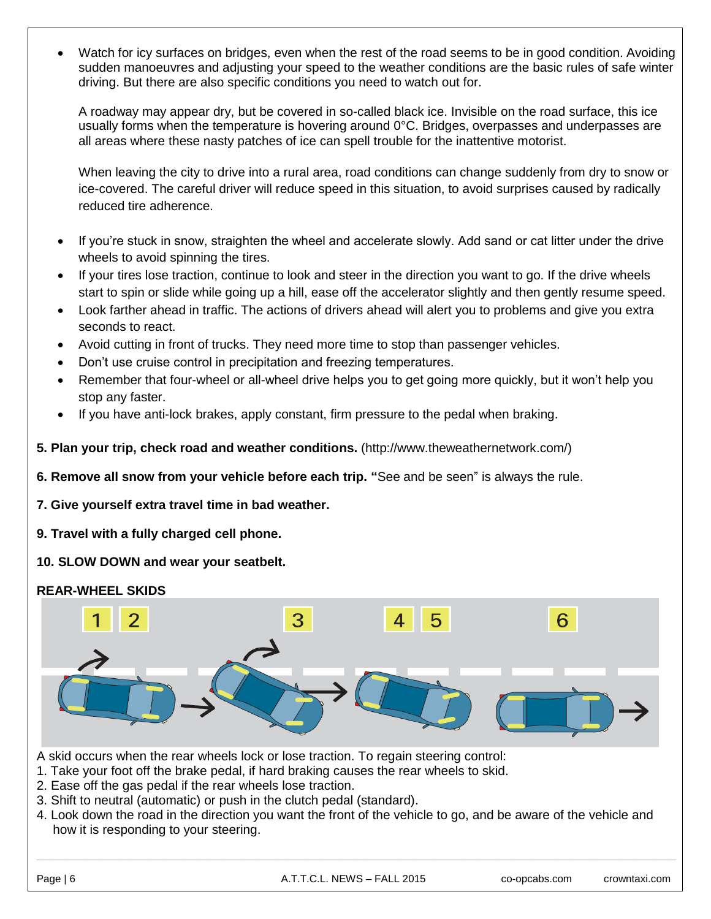Watch for icy surfaces on bridges, even when the rest of the road seems to be in good condition. Avoiding sudden manoeuvres and adjusting your speed to the weather conditions are the basic rules of safe winter driving. But there are also specific conditions you need to watch out for.

A roadway may appear dry, but be covered in so-called black ice. Invisible on the road surface, this ice usually forms when the temperature is hovering around 0°C. Bridges, overpasses and underpasses are all areas where these nasty patches of ice can spell trouble for the inattentive motorist.

When leaving the city to drive into a rural area, road conditions can change suddenly from dry to snow or ice-covered. The careful driver will reduce speed in this situation, to avoid surprises caused by radically reduced tire adherence.

- If you're stuck in snow, straighten the wheel and accelerate slowly. Add sand or cat litter under the drive wheels to avoid spinning the tires.
- If your tires lose traction, continue to look and steer in the direction you want to go. If the drive wheels start to spin or slide while going up a hill, ease off the accelerator slightly and then gently resume speed.
- Look farther ahead in traffic. The actions of drivers ahead will alert you to problems and give you extra seconds to react.
- Avoid cutting in front of trucks. They need more time to stop than passenger vehicles.
- Don't use cruise control in precipitation and freezing temperatures.
- Remember that four-wheel or all-wheel drive helps you to get going more quickly, but it won't help you stop any faster.
- If you have anti-lock brakes, apply constant, firm pressure to the pedal when braking.
- **5. Plan your trip, check road and weather conditions.** (http://www.theweathernetwork.com/)
- **6. Remove all snow from your vehicle before each trip. "**See and be seen" is always the rule.
- **7. Give yourself extra travel time in bad weather.**
- **9. Travel with a fully charged cell phone.**
- **10. SLOW DOWN and wear your seatbelt.**

## **REAR-WHEEL SKIDS**



A skid occurs when the rear wheels lock or lose traction. To regain steering control:

- 1. Take your foot off the brake pedal, if hard braking causes the rear wheels to skid.
- 2. Ease off the gas pedal if the rear wheels lose traction.
- 3. Shift to neutral (automatic) or push in the clutch pedal (standard).
- 4. Look down the road in the direction you want the front of the vehicle to go, and be aware of the vehicle and how it is responding to your steering.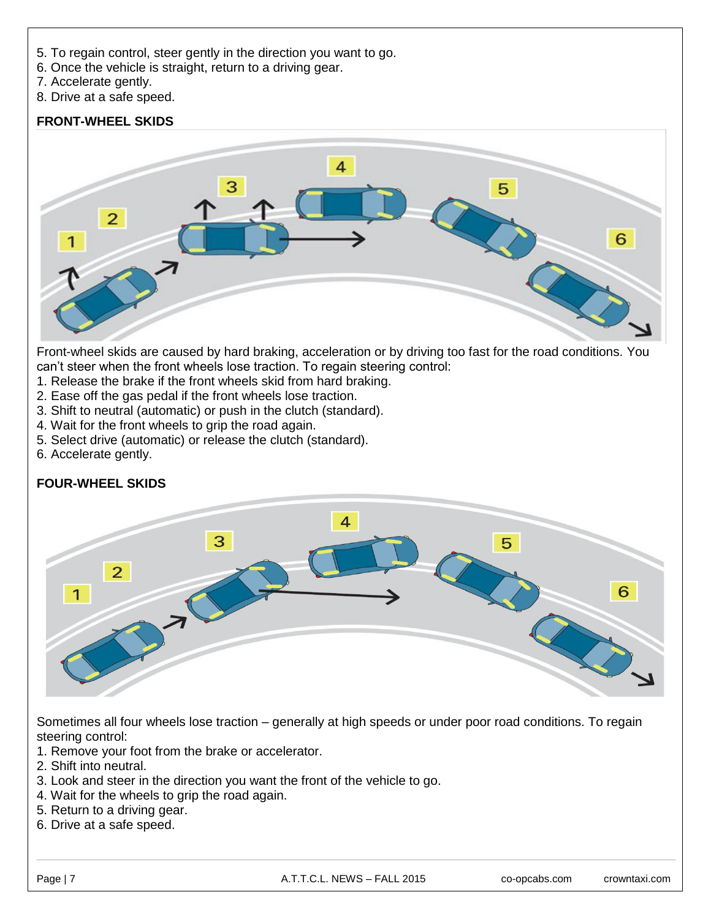- 5. To regain control, steer gently in the direction you want to go.
- 6. Once the vehicle is straight, return to a driving gear.
- 7. Accelerate gently.
- 8. Drive at a safe speed.

## **FRONT-WHEEL SKIDS**



Front-wheel skids are caused by hard braking, acceleration or by driving too fast for the road conditions. You can't steer when the front wheels lose traction. To regain steering control:

- 1. Release the brake if the front wheels skid from hard braking.
- 2. Ease off the gas pedal if the front wheels lose traction.
- 3. Shift to neutral (automatic) or push in the clutch (standard).
- 4. Wait for the front wheels to grip the road again.
- 5. Select drive (automatic) or release the clutch (standard).
- 6. Accelerate gently.

## **FOUR-WHEEL SKIDS**



Sometimes all four wheels lose traction – generally at high speeds or under poor road conditions. To regain steering control:

- 1. Remove your foot from the brake or accelerator.
- 2. Shift into neutral.
- 3. Look and steer in the direction you want the front of the vehicle to go.
- 4. Wait for the wheels to grip the road again.
- 5. Return to a driving gear.
- 6. Drive at a safe speed.